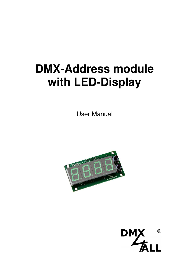# **DMX-Address module with LED-Display**

User Manual



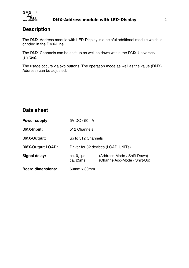

#### **Description**

The DMX-Address module with LED-Display is a helpful additional module which is grinded in the DMX-Line.

The DMX-Channels can be shift up as well as down within the DMX-Universes (shiften).

The usage occurs via two buttons. The operation mode as well as the value (DMX-Address) can be adjusted.

## **Data sheet**

| <b>Power supply:</b>     | 5V DC / 50mA                       |                                                             |  |
|--------------------------|------------------------------------|-------------------------------------------------------------|--|
| <b>DMX-Input:</b>        | 512 Channels                       |                                                             |  |
| DMX-Output:              | up to 512 Channels                 |                                                             |  |
| <b>DMX-Output LOAD:</b>  | Driver for 32 devices (LOAD-UNITs) |                                                             |  |
| Signal delay:            | ca. $0,1$ µs<br>ca. 25ms           | (Address-Mode / Shift-Down)<br>(ChannelAdd-Mode / Shift-Up) |  |
| <b>Board dimensions:</b> | $60$ mm x 30mm                     |                                                             |  |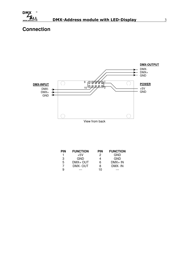

#### **Connection**



| <b>PIN</b> | <b>FUNCTION</b> | <b>PIN</b> | <b>FUNCTION</b> |
|------------|-----------------|------------|-----------------|
|            | $+5V$           | 2          | GND             |
| 3          | GND             |            | <b>GND</b>      |
| 5          | $DMX + OUT$     | 6          | $DMX + IN$      |
| 7          | DMX-OUT         | 8          | DMX-IN          |
|            |                 | 10         |                 |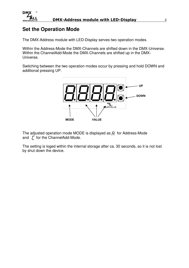

#### **Set the Operation Mode**

The DMX-Address module with LED-Display serves two operation modes.

Within the Address-Mode the DMX-Channels are shifted down in the DMX-Universe. Within the ChannelAdd-Mode the DMX-Channels are shifted up in the DMX-Universe.

Switching between the two operation modes occur by pressing and hold DOWN and additional pressing UP.



The adjusted operation mode MODE is displayed as  $\beta$  for Address-Mode and  $\int$  for the ChannelAdd-Mode.

The setting is loged within the internal storage after ca. 30 seconds, so it is not lost by shut down the device.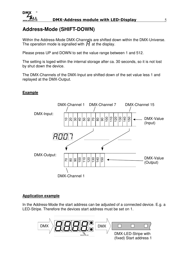

#### **Address-Mode (SHIFT-DOWN)**

Within the Address-Mode DMX-Channels are shifted down within the DMX-Universe. The operation mode is signalled with  $H$  at the display.

Please press UP and DOWN to set the value range between 1 and 512.

The setting is loged within the internal storage after ca. 30 seconds, so it is not lost by shut down the device.

The DMX-Channels of the DMX-Input are shifted down of the set value less 1 and replayed at the DMX-Output.

#### **Example**



#### **Application example**

In the Address-Mode the start address can be adjusted of a connected device. E.g. a LED-Stripe. Therefore the devices start address must be set on 1.

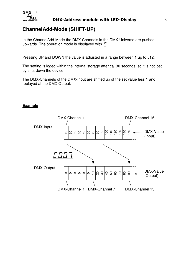

## **ChannelAdd-Mode (SHIFT-UP)**

In the ChannelAdd-Mode the DMX-Channels in the DMX-Universe are pushed upwards. The operation mode is displayed with  $\Gamma$ .

Pressing UP and DOWN the value is adjusted in a range between 1 up to 512.

The setting is loged within the internal storage after ca. 30 seconds, so it is not lost by shut down the device.

The DMX-Channels of the DMX-Input are shifted up of the set value less 1 and replayed at the DMX-Output.

#### **Example**

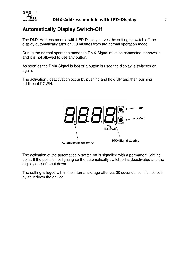

## **Automatically Display Switch-Off**

The DMX-Address module with LED-Display serves the setting to switch off the display automatically after ca. 10 minutes from the normal operation mode.

During the normal operation mode the DMX-Signal must be connected meanwhile and it is not allowed to use any button.

As soon as the DMX-Signal is lost or a button is used the display is switches on again.

The activation / deactivation occur by pushing and hold UP and then pushing additional DOWN.



The activation of the automatically switch-off is signalled with a permanent lighting point. If the point is not lighting so the automatically switch-off is deactivated and the display doesn't shut down.

The setting is loged within the internal storage after ca. 30 seconds, so it is not lost by shut down the device.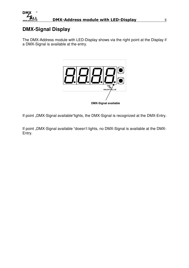

## **DMX-Signal Display**

The DMX-Address module with LED-Display shows via the right point at the Display if a DMX-Signal is available at the entry.



If point "DMX-Signal available"lights, the DMX-Signal is recognized at the DMX-Entry.

If point "DMX-Signal available "doesn't lights, no DMX-Signal is available at the DMX-Entry.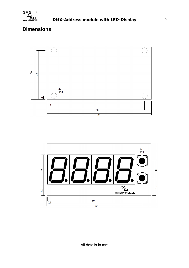

## **Dimensions**



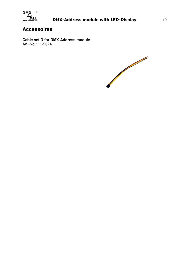

### **Accessoires**

**Cable set D for DMX-Address module**  Art.-No.: 11-2024

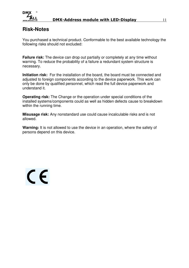

#### **Risk-Notes**

You purchased a technical product. Conformable to the best available technology the following risks should not excluded:

**Failure risk:** The device can drop out partially or completely at any time without warning. To reduce the probability of a failure a redundant system structure is necessary.

**Initiation risk:** For the installation of the board, the board must be connected and adjusted to foreign components according to the device paperwork. This work can only be done by qualified personnel, which read the full device paperwork and understand it.

**Operating risk:** The Change or the operation under special conditions of the installed systems/components could as well as hidden defects cause to breakdown within the running time.

**Misusage risk:** Any nonstandard use could cause incalculable risks and is not allowed.

**Warning:** It is not allowed to use the device in an operation, where the safety of persons depend on this device.

CE